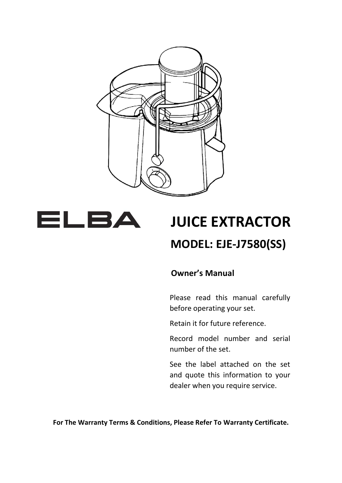



# **JUICE EXTRACTOR MODEL: EJE-J7580(SS)**

#### **Owner's Manual**

Please read this manual carefully before operating your set.

Retain it for future reference.

Record model number and serial number of the set.

See the label attached on the set and quote this information to your dealer when you require service.

**For The Warranty Terms & Conditions, Please Refer To Warranty Certificate.**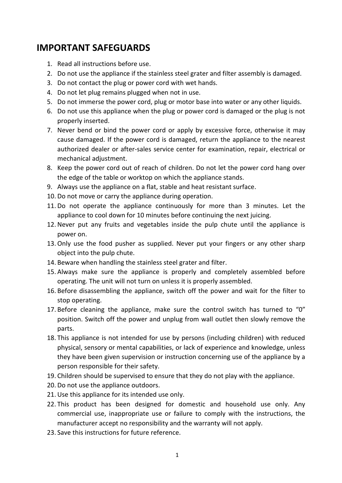#### **IMPORTANT SAFEGUARDS**

- 1. Read all instructions before use.
- 2. Do not use the appliance if the stainless steel grater and filter assembly is damaged.
- 3. Do not contact the plug or power cord with wet hands.
- 4. Do not let plug remains plugged when not in use.
- 5. Do not immerse the power cord, plug or motor base into water or any other liquids.
- 6. Do not use this appliance when the plug or power cord is damaged or the plug is not properly inserted.
- 7. Never bend or bind the power cord or apply by excessive force, otherwise it may cause damaged. If the power cord is damaged, return the appliance to the nearest authorized dealer or after-sales service center for examination, repair, electrical or mechanical adjustment.
- 8. Keep the power cord out of reach of children. Do not let the power cord hang over the edge of the table or worktop on which the appliance stands.
- 9. Always use the appliance on a flat, stable and heat resistant surface.
- 10. Do not move or carry the appliance during operation.
- 11. Do not operate the appliance continuously for more than 3 minutes. Let the appliance to cool down for 10 minutes before continuing the next juicing.
- 12. Never put any fruits and vegetables inside the pulp chute until the appliance is power on.
- 13. Only use the food pusher as supplied. Never put your fingers or any other sharp object into the pulp chute.
- 14. Beware when handling the stainless steel grater and filter.
- 15. Always make sure the appliance is properly and completely assembled before operating. The unit will not turn on unless it is properly assembled.
- 16. Before disassembling the appliance, switch off the power and wait for the filter to stop operating.
- 17. Before cleaning the appliance, make sure the control switch has turned to "0" position. Switch off the power and unplug from wall outlet then slowly remove the parts.
- 18. This appliance is not intended for use by persons (including children) with reduced physical, sensory or mental capabilities, or lack of experience and knowledge, unless they have been given supervision or instruction concerning use of the appliance by a person responsible for their safety.
- 19. Children should be supervised to ensure that they do not play with the appliance.
- 20. Do not use the appliance outdoors.
- 21. Use this appliance for its intended use only.
- 22. This product has been designed for domestic and household use only. Any commercial use, inappropriate use or failure to comply with the instructions, the manufacturer accept no responsibility and the warranty will not apply.
- 23. Save this instructions for future reference.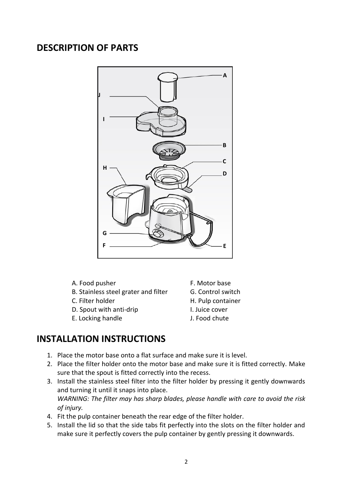#### **DESCRIPTION OF PARTS**



- A. Food pusher F. Motor base
- B. Stainless steel grater and filter **G. Control switch**
- 
- D. Spout with anti-drip I. Juice cover
- E. Locking handle **J. Food chute**
- 
- 
- C. Filter holder H. Pulp container
	-
	-

#### **INSTALLATION INSTRUCTIONS**

- 1. Place the motor base onto a flat surface and make sure it is level.
- 2. Place the filter holder onto the motor base and make sure it is fitted correctly. Make sure that the spout is fitted correctly into the recess.
- 3. Install the stainless steel filter into the filter holder by pressing it gently downwards and turning it until it snaps into place. *WARNING: The filter may has sharp blades, please handle with care to avoid the risk of injury.*
- 4. Fit the pulp container beneath the rear edge of the filter holder.
- 5. Install the lid so that the side tabs fit perfectly into the slots on the filter holder and make sure it perfectly covers the pulp container by gently pressing it downwards.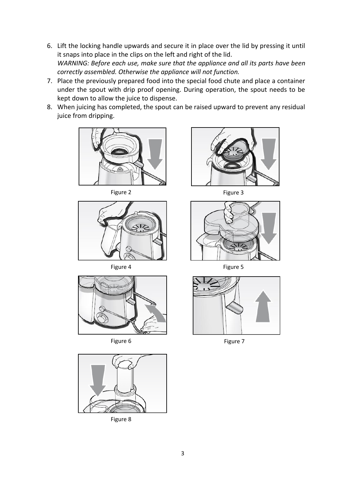- 6. Lift the locking handle upwards and secure it in place over the lid by pressing it until it snaps into place in the clips on the left and right of the lid. *WARNING: Before each use, make sure that the appliance and all its parts have been correctly assembled. Otherwise the appliance will not function.*
- 7. Place the previously prepared food into the special food chute and place a container under the spout with drip proof opening. During operation, the spout needs to be kept down to allow the juice to dispense.
- 8. When juicing has completed, the spout can be raised upward to prevent any residual juice from dripping.



Figure 2 Figure 3



Figure 4 Figure 5





Figure 8







Figure 6 Figure 7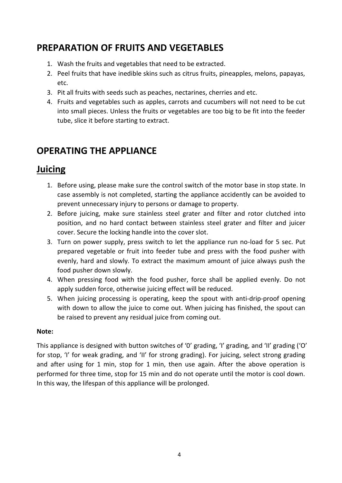# **PREPARATION OF FRUITS AND VEGETABLES**

- 1. Wash the fruits and vegetables that need to be extracted.
- 2. Peel fruits that have inedible skins such as citrus fruits, pineapples, melons, papayas, etc.
- 3. Pit all fruits with seeds such as peaches, nectarines, cherries and etc.
- 4. Fruits and vegetables such as apples, carrots and cucumbers will not need to be cut into small pieces. Unless the fruits or vegetables are too big to be fit into the feeder tube, slice it before starting to extract.

#### **OPERATING THE APPLIANCE**

#### **Juicing**

- 1. Before using, please make sure the control switch of the motor base in stop state. In case assembly is not completed, starting the appliance accidently can be avoided to prevent unnecessary injury to persons or damage to property.
- 2. Before juicing, make sure stainless steel grater and filter and rotor clutched into position, and no hard contact between stainless steel grater and filter and juicer cover. Secure the locking handle into the cover slot.
- 3. Turn on power supply, press switch to let the appliance run no-load for 5 sec. Put prepared vegetable or fruit into feeder tube and press with the food pusher with evenly, hard and slowly. To extract the maximum amount of juice always push the food pusher down slowly.
- 4. When pressing food with the food pusher, force shall be applied evenly. Do not apply sudden force, otherwise juicing effect will be reduced.
- 5. When juicing processing is operating, keep the spout with anti-drip-proof opening with down to allow the juice to come out. When juicing has finished, the spout can be raised to prevent any residual juice from coming out.

#### **Note:**

This appliance is designed with button switches of '0' grading, 'I' grading, and 'II' grading ('O' for stop, 'I' for weak grading, and 'II' for strong grading). For juicing, select strong grading and after using for 1 min, stop for 1 min, then use again. After the above operation is performed for three time, stop for 15 min and do not operate until the motor is cool down. In this way, the lifespan of this appliance will be prolonged.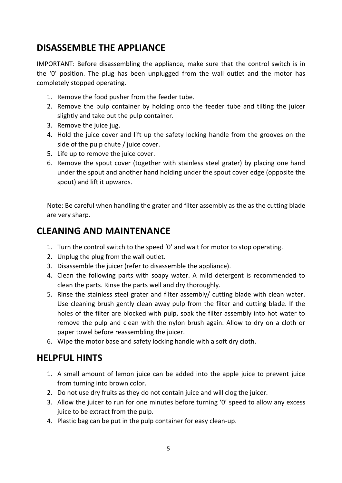## **DISASSEMBLE THE APPLIANCE**

IMPORTANT: Before disassembling the appliance, make sure that the control switch is in the '0' position. The plug has been unplugged from the wall outlet and the motor has completely stopped operating.

- 1. Remove the food pusher from the feeder tube.
- 2. Remove the pulp container by holding onto the feeder tube and tilting the juicer slightly and take out the pulp container.
- 3. Remove the juice jug.
- 4. Hold the juice cover and lift up the safety locking handle from the grooves on the side of the pulp chute / juice cover.
- 5. Life up to remove the juice cover.
- 6. Remove the spout cover (together with stainless steel grater) by placing one hand under the spout and another hand holding under the spout cover edge (opposite the spout) and lift it upwards.

Note: Be careful when handling the grater and filter assembly as the as the cutting blade are very sharp.

### **CLEANING AND MAINTENANCE**

- 1. Turn the control switch to the speed '0' and wait for motor to stop operating.
- 2. Unplug the plug from the wall outlet.
- 3. Disassemble the juicer (refer to disassemble the appliance).
- 4. Clean the following parts with soapy water. A mild detergent is recommended to clean the parts. Rinse the parts well and dry thoroughly.
- 5. Rinse the stainless steel grater and filter assembly/ cutting blade with clean water. Use cleaning brush gently clean away pulp from the filter and cutting blade. If the holes of the filter are blocked with pulp, soak the filter assembly into hot water to remove the pulp and clean with the nylon brush again. Allow to dry on a cloth or paper towel before reassembling the juicer.
- 6. Wipe the motor base and safety locking handle with a soft dry cloth.

### **HELPFUL HINTS**

- 1. A small amount of lemon juice can be added into the apple juice to prevent juice from turning into brown color.
- 2. Do not use dry fruits as they do not contain juice and will clog the juicer.
- 3. Allow the juicer to run for one minutes before turning '0' speed to allow any excess juice to be extract from the pulp.
- 4. Plastic bag can be put in the pulp container for easy clean-up.